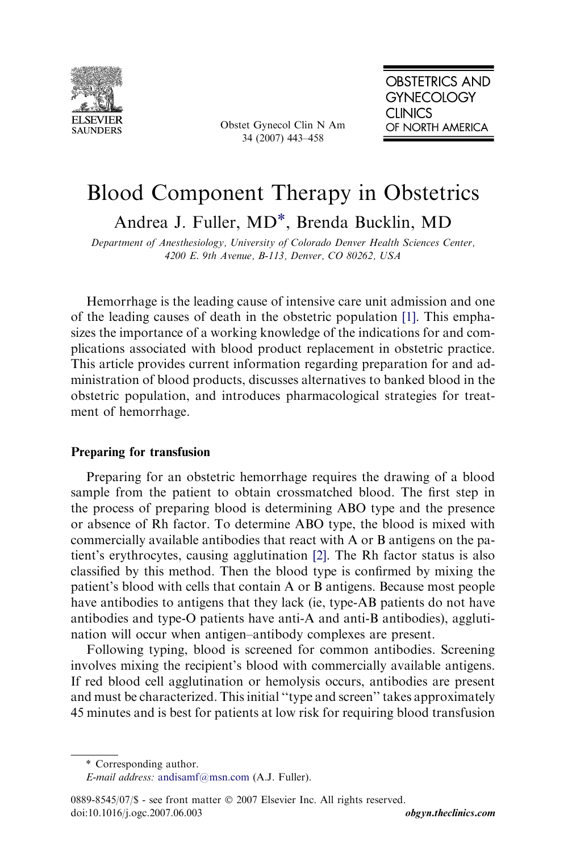

Obstet Gynecol Clin N Am 34 (2007) 443–458

# Blood Component Therapy in Obstetrics Andrea J. Fuller, MD\*, Brenda Bucklin, MD

Department of Anesthesiology, University of Colorado Denver Health Sciences Center, 4200 E. 9th Avenue, B-113, Denver, CO 80262, USA

Hemorrhage is the leading cause of intensive care unit admission and one of the leading causes of death in the obstetric population [\[1\]](#page-13-0). This emphasizes the importance of a working knowledge of the indications for and complications associated with blood product replacement in obstetric practice. This article provides current information regarding preparation for and administration of blood products, discusses alternatives to banked blood in the obstetric population, and introduces pharmacological strategies for treatment of hemorrhage.

# Preparing for transfusion

Preparing for an obstetric hemorrhage requires the drawing of a blood sample from the patient to obtain crossmatched blood. The first step in the process of preparing blood is determining ABO type and the presence or absence of Rh factor. To determine ABO type, the blood is mixed with commercially available antibodies that react with A or B antigens on the patient's erythrocytes, causing agglutination [\[2\]](#page-13-0). The Rh factor status is also classified by this method. Then the blood type is confirmed by mixing the patient's blood with cells that contain A or B antigens. Because most people have antibodies to antigens that they lack (ie, type-AB patients do not have antibodies and type-O patients have anti-A and anti-B antibodies), agglutination will occur when antigen–antibody complexes are present.

Following typing, blood is screened for common antibodies. Screening involves mixing the recipient's blood with commercially available antigens. If red blood cell agglutination or hemolysis occurs, antibodies are present and must be characterized. This initial ''type and screen'' takes approximately 45 minutes and is best for patients at low risk for requiring blood transfusion

<sup>\*</sup> Corresponding author.

E-mail address: [andisamf@msn.com](mailto:andisamf@msn.com) (A.J. Fuller).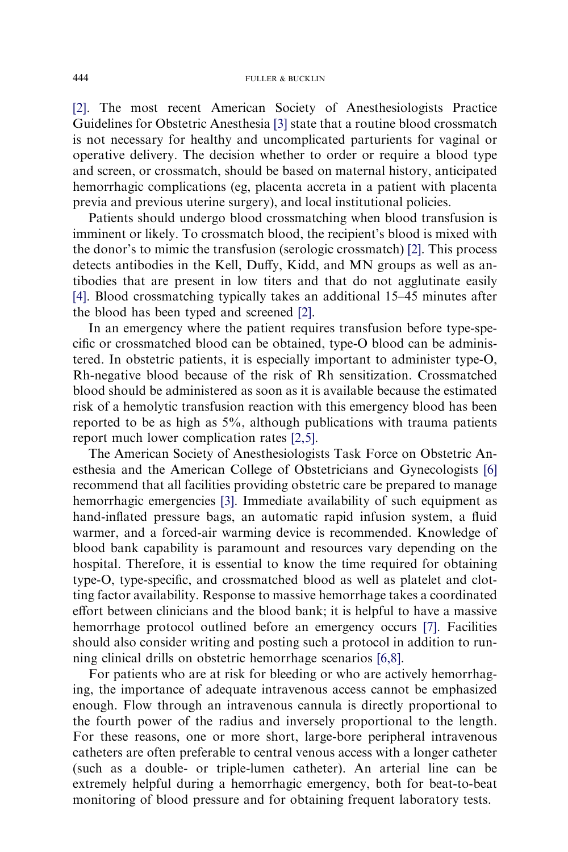[\[2\].](#page-13-0) The most recent American Society of Anesthesiologists Practice Guidelines for Obstetric Anesthesia [\[3\]](#page-13-0) state that a routine blood crossmatch is not necessary for healthy and uncomplicated parturients for vaginal or operative delivery. The decision whether to order or require a blood type and screen, or crossmatch, should be based on maternal history, anticipated hemorrhagic complications (eg, placenta accreta in a patient with placenta previa and previous uterine surgery), and local institutional policies.

Patients should undergo blood crossmatching when blood transfusion is imminent or likely. To crossmatch blood, the recipient's blood is mixed with the donor's to mimic the transfusion (serologic crossmatch) [\[2\]](#page-13-0). This process detects antibodies in the Kell, Duffy, Kidd, and MN groups as well as antibodies that are present in low titers and that do not agglutinate easily [\[4\].](#page-13-0) Blood crossmatching typically takes an additional 15–45 minutes after the blood has been typed and screened [\[2\]](#page-13-0).

In an emergency where the patient requires transfusion before type-specific or crossmatched blood can be obtained, type-O blood can be administered. In obstetric patients, it is especially important to administer type-O, Rh-negative blood because of the risk of Rh sensitization. Crossmatched blood should be administered as soon as it is available because the estimated risk of a hemolytic transfusion reaction with this emergency blood has been reported to be as high as 5%, although publications with trauma patients report much lower complication rates [\[2,5\].](#page-13-0)

The American Society of Anesthesiologists Task Force on Obstetric Anesthesia and the American College of Obstetricians and Gynecologists [\[6\]](#page-13-0) recommend that all facilities providing obstetric care be prepared to manage hemorrhagic emergencies [\[3\]](#page-13-0). Immediate availability of such equipment as hand-inflated pressure bags, an automatic rapid infusion system, a fluid warmer, and a forced-air warming device is recommended. Knowledge of blood bank capability is paramount and resources vary depending on the hospital. Therefore, it is essential to know the time required for obtaining type-O, type-specific, and crossmatched blood as well as platelet and clotting factor availability. Response to massive hemorrhage takes a coordinated effort between clinicians and the blood bank; it is helpful to have a massive hemorrhage protocol outlined before an emergency occurs [\[7\]](#page-13-0). Facilities should also consider writing and posting such a protocol in addition to running clinical drills on obstetric hemorrhage scenarios [\[6,8\].](#page-13-0)

For patients who are at risk for bleeding or who are actively hemorrhaging, the importance of adequate intravenous access cannot be emphasized enough. Flow through an intravenous cannula is directly proportional to the fourth power of the radius and inversely proportional to the length. For these reasons, one or more short, large-bore peripheral intravenous catheters are often preferable to central venous access with a longer catheter (such as a double- or triple-lumen catheter). An arterial line can be extremely helpful during a hemorrhagic emergency, both for beat-to-beat monitoring of blood pressure and for obtaining frequent laboratory tests.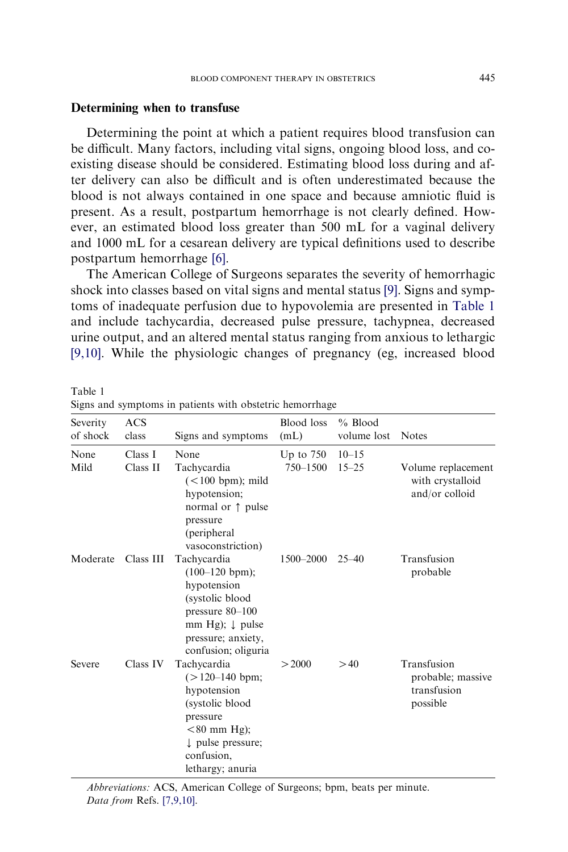#### Determining when to transfuse

Determining the point at which a patient requires blood transfusion can be difficult. Many factors, including vital signs, ongoing blood loss, and coexisting disease should be considered. Estimating blood loss during and after delivery can also be difficult and is often underestimated because the blood is not always contained in one space and because amniotic fluid is present. As a result, postpartum hemorrhage is not clearly defined. However, an estimated blood loss greater than 500 mL for a vaginal delivery and 1000 mL for a cesarean delivery are typical definitions used to describe postpartum hemorrhage [\[6\].](#page-13-0)

The American College of Surgeons separates the severity of hemorrhagic shock into classes based on vital signs and mental status [\[9\]](#page-13-0). Signs and symptoms of inadequate perfusion due to hypovolemia are presented in Table 1 and include tachycardia, decreased pulse pressure, tachypnea, decreased urine output, and an altered mental status ranging from anxious to lethargic [\[9,10\].](#page-13-0) While the physiologic changes of pregnancy (eg, increased blood

| Severity<br>of shock | <b>ACS</b><br>class | Signs and symptoms                                                                                                                                                | <b>Blood</b> loss<br>(mL) | $%$ Blood<br>volume lost | <b>Notes</b>                                                |
|----------------------|---------------------|-------------------------------------------------------------------------------------------------------------------------------------------------------------------|---------------------------|--------------------------|-------------------------------------------------------------|
| None<br>Mild         | Class I<br>Class II | None<br>Tachycardia<br>$(< 100$ bpm); mild<br>hypotension;<br>normal or $\uparrow$ pulse<br>pressure<br>(peripheral<br>vasoconstriction)                          | Up to $750$<br>750-1500   | $10 - 15$<br>$15 - 25$   | Volume replacement<br>with crystalloid<br>and/or colloid    |
| Moderate             | Class III           | Tachycardia<br>$(100-120$ bpm);<br>hypotension<br>(systolic blood<br>pressure $80-100$<br>mm Hg); $\downarrow$ pulse<br>pressure; anxiety,<br>confusion; oliguria | 1500-2000                 | $25 - 40$                | Transfusion<br>probable                                     |
| Severe               | Class IV            | Tachycardia<br>$(>120-140$ bpm;<br>hypotension<br>(systolic blood<br>pressure<br>$< 80$ mm Hg);<br>$\downarrow$ pulse pressure;<br>confusion,<br>lethargy; anuria | > 2000                    | >40                      | Transfusion<br>probable; massive<br>transfusion<br>possible |

Table 1 Signs and symptoms in patients with obstetric hemorrhage

Abbreviations: ACS, American College of Surgeons; bpm, beats per minute. Data from Refs. [\[7,9,10\]](#page-13-0).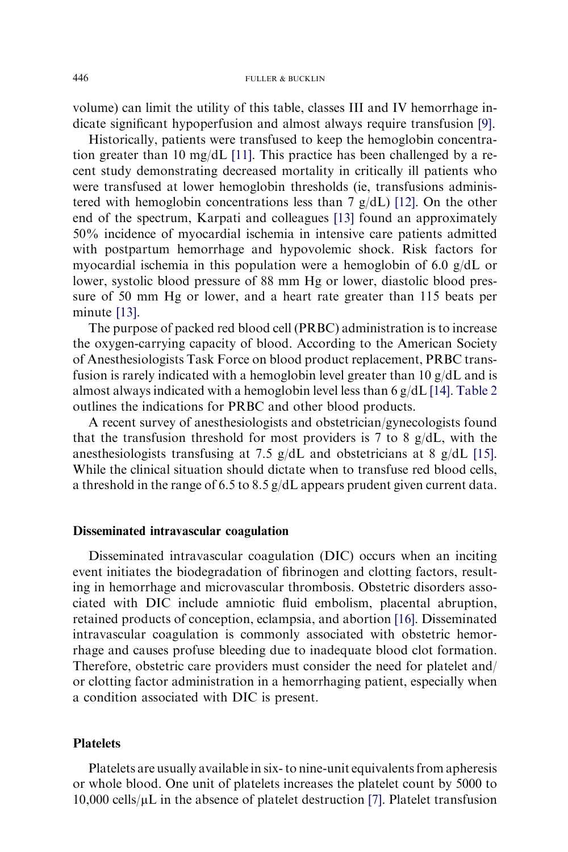volume) can limit the utility of this table, classes III and IV hemorrhage indicate significant hypoperfusion and almost always require transfusion [\[9\]](#page-13-0).

Historically, patients were transfused to keep the hemoglobin concentration greater than 10 mg/dL [\[11\].](#page-13-0) This practice has been challenged by a recent study demonstrating decreased mortality in critically ill patients who were transfused at lower hemoglobin thresholds (ie, transfusions administered with hemoglobin concentrations less than 7 g/dL) [\[12\].](#page-13-0) On the other end of the spectrum, Karpati and colleagues [\[13\]](#page-13-0) found an approximately 50% incidence of myocardial ischemia in intensive care patients admitted with postpartum hemorrhage and hypovolemic shock. Risk factors for myocardial ischemia in this population were a hemoglobin of 6.0 g/dL or lower, systolic blood pressure of 88 mm Hg or lower, diastolic blood pressure of 50 mm Hg or lower, and a heart rate greater than 115 beats per minute [\[13\].](#page-13-0)

The purpose of packed red blood cell (PRBC) administration is to increase the oxygen-carrying capacity of blood. According to the American Society of Anesthesiologists Task Force on blood product replacement, PRBC transfusion is rarely indicated with a hemoglobin level greater than 10 g/dL and is almost always indicated with a hemoglobin level less than 6 g/dL [\[14\]](#page-13-0). [Table 2](#page-4-0) outlines the indications for PRBC and other blood products.

A recent survey of anesthesiologists and obstetrician/gynecologists found that the transfusion threshold for most providers is 7 to 8  $g/dL$ , with the anesthesiologists transfusing at 7.5 g/dL and obstetricians at 8 g/dL [\[15\]](#page-13-0). While the clinical situation should dictate when to transfuse red blood cells, a threshold in the range of 6.5 to 8.5 g/dL appears prudent given current data.

### Disseminated intravascular coagulation

Disseminated intravascular coagulation (DIC) occurs when an inciting event initiates the biodegradation of fibrinogen and clotting factors, resulting in hemorrhage and microvascular thrombosis. Obstetric disorders associated with DIC include amniotic fluid embolism, placental abruption, retained products of conception, eclampsia, and abortion [\[16\]](#page-13-0). Disseminated intravascular coagulation is commonly associated with obstetric hemorrhage and causes profuse bleeding due to inadequate blood clot formation. Therefore, obstetric care providers must consider the need for platelet and/ or clotting factor administration in a hemorrhaging patient, especially when a condition associated with DIC is present.

# Platelets

Platelets are usually available in six- to nine-unit equivalents from apheresis or whole blood. One unit of platelets increases the platelet count by 5000 to  $10,000$  cells/ $\mu$ L in the absence of platelet destruction [\[7\]](#page-13-0). Platelet transfusion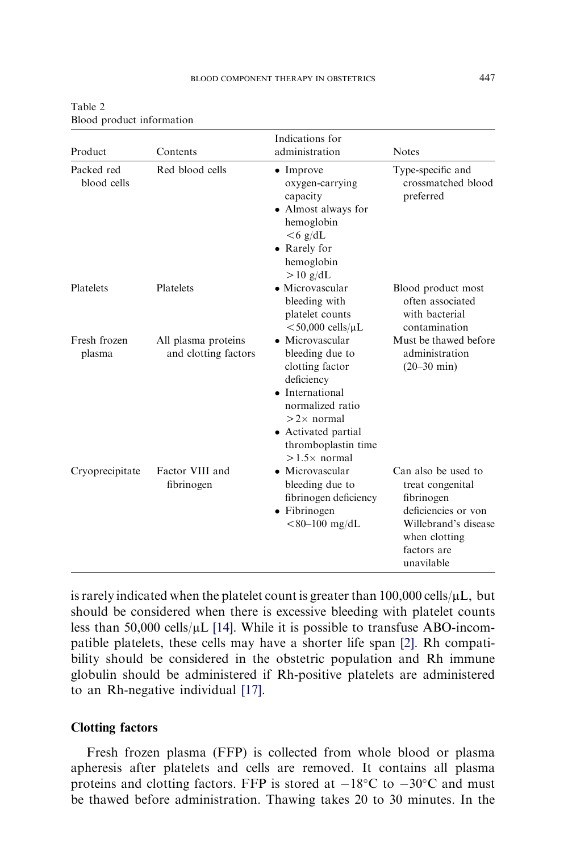| Product                   | Contents                                    | Indications for<br>administration                                                                                                                                                                    | <b>Notes</b>                                                                                                                                       |
|---------------------------|---------------------------------------------|------------------------------------------------------------------------------------------------------------------------------------------------------------------------------------------------------|----------------------------------------------------------------------------------------------------------------------------------------------------|
| Packed red<br>blood cells | Red blood cells                             | $\bullet$ Improve<br>oxygen-carrying<br>capacity<br>• Almost always for<br>hemoglobin<br>$<$ 6 g/dL<br>• Rarely for<br>hemoglobin<br>$>10$ g/dL                                                      | Type-specific and<br>crossmatched blood<br>preferred                                                                                               |
| Platelets                 | Platelets                                   | • Microvascular<br>bleeding with<br>platelet counts<br>$<$ 50,000 cells/ $\mu$ L                                                                                                                     | Blood product most<br>often associated<br>with bacterial<br>contamination                                                                          |
| Fresh frozen<br>plasma    | All plasma proteins<br>and clotting factors | • Microvascular<br>bleeding due to<br>clotting factor<br>deficiency<br>• International<br>normalized ratio<br>$>2\times$ normal<br>• Activated partial<br>thromboplastin time<br>$>1.5\times$ normal | Must be thawed before<br>administration<br>$(20 - 30$ min)                                                                                         |
| Cryoprecipitate           | Factor VIII and<br>fibrinogen               | • Microvascular<br>bleeding due to<br>fibrinogen deficiency<br>• Fibrinogen<br>$< 80 - 100$ mg/dL                                                                                                    | Can also be used to<br>treat congenital<br>fibrinogen<br>deficiencies or von<br>Willebrand's disease<br>when clotting<br>factors are<br>unavilable |

<span id="page-4-0"></span>Table 2 Blood product information

is rarely indicated when the platelet count is greater than  $100,000$  cells/ $\mu$ L, but should be considered when there is excessive bleeding with platelet counts less than 50,000 cells/ $\mu$ L [\[14\]](#page-13-0). While it is possible to transfuse ABO-incompatible platelets, these cells may have a shorter life span [\[2\]](#page-13-0). Rh compatibility should be considered in the obstetric population and Rh immune globulin should be administered if Rh-positive platelets are administered to an Rh-negative individual [\[17\]](#page-13-0).

# Clotting factors

Fresh frozen plasma (FFP) is collected from whole blood or plasma apheresis after platelets and cells are removed. It contains all plasma proteins and clotting factors. FFP is stored at  $-18^{\circ}$ C to  $-30^{\circ}$ C and must be thawed before administration. Thawing takes 20 to 30 minutes. In the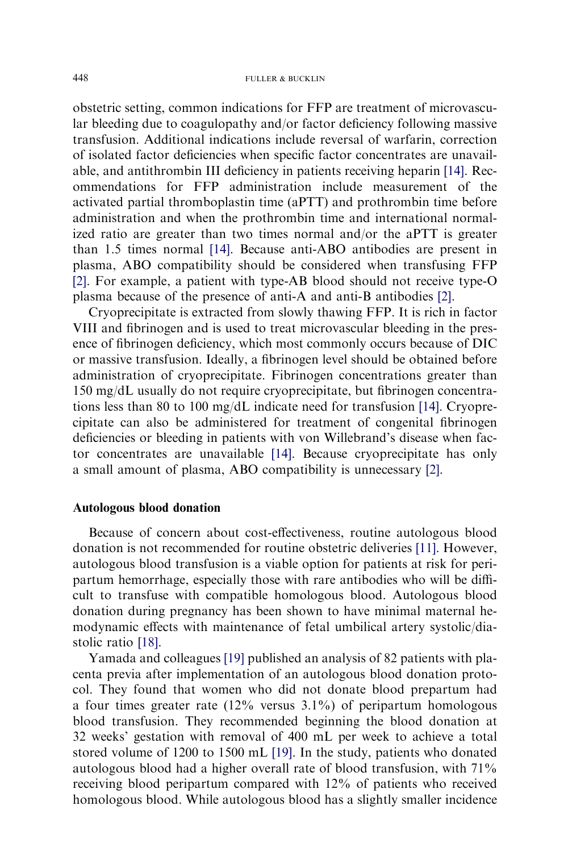obstetric setting, common indications for FFP are treatment of microvascular bleeding due to coagulopathy and/or factor deficiency following massive transfusion. Additional indications include reversal of warfarin, correction of isolated factor deficiencies when specific factor concentrates are unavailable, and antithrombin III deficiency in patients receiving heparin [\[14\]](#page-13-0). Recommendations for FFP administration include measurement of the activated partial thromboplastin time (aPTT) and prothrombin time before administration and when the prothrombin time and international normalized ratio are greater than two times normal and/or the aPTT is greater than 1.5 times normal [\[14\].](#page-13-0) Because anti-ABO antibodies are present in plasma, ABO compatibility should be considered when transfusing FFP [\[2\].](#page-13-0) For example, a patient with type-AB blood should not receive type-O plasma because of the presence of anti-A and anti-B antibodies [\[2\]](#page-13-0).

Cryoprecipitate is extracted from slowly thawing FFP. It is rich in factor VIII and fibrinogen and is used to treat microvascular bleeding in the presence of fibrinogen deficiency, which most commonly occurs because of DIC or massive transfusion. Ideally, a fibrinogen level should be obtained before administration of cryoprecipitate. Fibrinogen concentrations greater than 150 mg/dL usually do not require cryoprecipitate, but fibrinogen concentrations less than 80 to 100 mg/dL indicate need for transfusion [\[14\]](#page-13-0). Cryoprecipitate can also be administered for treatment of congenital fibrinogen deficiencies or bleeding in patients with von Willebrand's disease when factor concentrates are unavailable [\[14\].](#page-13-0) Because cryoprecipitate has only a small amount of plasma, ABO compatibility is unnecessary [\[2\]](#page-13-0).

### Autologous blood donation

Because of concern about cost-effectiveness, routine autologous blood donation is not recommended for routine obstetric deliveries [\[11\].](#page-13-0) However, autologous blood transfusion is a viable option for patients at risk for peripartum hemorrhage, especially those with rare antibodies who will be difficult to transfuse with compatible homologous blood. Autologous blood donation during pregnancy has been shown to have minimal maternal hemodynamic effects with maintenance of fetal umbilical artery systolic/diastolic ratio [\[18\]](#page-14-0).

Yamada and colleagues [\[19\]](#page-14-0) published an analysis of 82 patients with placenta previa after implementation of an autologous blood donation protocol. They found that women who did not donate blood prepartum had a four times greater rate (12% versus 3.1%) of peripartum homologous blood transfusion. They recommended beginning the blood donation at 32 weeks' gestation with removal of 400 mL per week to achieve a total stored volume of 1200 to 1500 mL [\[19\]](#page-14-0). In the study, patients who donated autologous blood had a higher overall rate of blood transfusion, with 71% receiving blood peripartum compared with 12% of patients who received homologous blood. While autologous blood has a slightly smaller incidence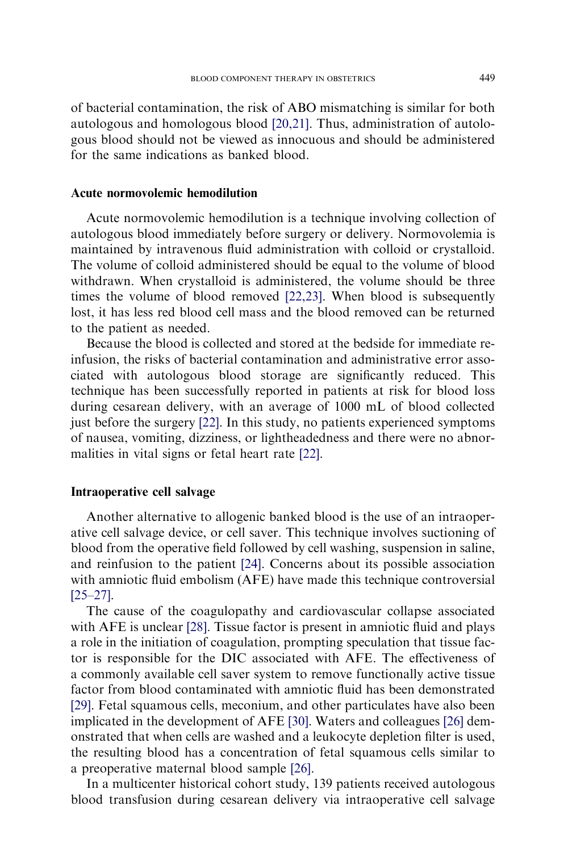of bacterial contamination, the risk of ABO mismatching is similar for both autologous and homologous blood [\[20,21\]](#page-14-0). Thus, administration of autologous blood should not be viewed as innocuous and should be administered for the same indications as banked blood.

## Acute normovolemic hemodilution

Acute normovolemic hemodilution is a technique involving collection of autologous blood immediately before surgery or delivery. Normovolemia is maintained by intravenous fluid administration with colloid or crystalloid. The volume of colloid administered should be equal to the volume of blood withdrawn. When crystalloid is administered, the volume should be three times the volume of blood removed [\[22,23\]](#page-14-0). When blood is subsequently lost, it has less red blood cell mass and the blood removed can be returned to the patient as needed.

Because the blood is collected and stored at the bedside for immediate reinfusion, the risks of bacterial contamination and administrative error associated with autologous blood storage are significantly reduced. This technique has been successfully reported in patients at risk for blood loss during cesarean delivery, with an average of 1000 mL of blood collected just before the surgery [\[22\].](#page-14-0) In this study, no patients experienced symptoms of nausea, vomiting, dizziness, or lightheadedness and there were no abnormalities in vital signs or fetal heart rate [\[22\]](#page-14-0).

# Intraoperative cell salvage

Another alternative to allogenic banked blood is the use of an intraoperative cell salvage device, or cell saver. This technique involves suctioning of blood from the operative field followed by cell washing, suspension in saline, and reinfusion to the patient [\[24\].](#page-14-0) Concerns about its possible association with amniotic fluid embolism (AFE) have made this technique controversial [\[25–27\]](#page-14-0).

The cause of the coagulopathy and cardiovascular collapse associated with AFE is unclear [\[28\]](#page-14-0). Tissue factor is present in amniotic fluid and plays a role in the initiation of coagulation, prompting speculation that tissue factor is responsible for the DIC associated with AFE. The effectiveness of a commonly available cell saver system to remove functionally active tissue factor from blood contaminated with amniotic fluid has been demonstrated [\[29\]](#page-14-0). Fetal squamous cells, meconium, and other particulates have also been implicated in the development of AFE [\[30\].](#page-14-0) Waters and colleagues [\[26\]](#page-14-0) demonstrated that when cells are washed and a leukocyte depletion filter is used, the resulting blood has a concentration of fetal squamous cells similar to a preoperative maternal blood sample [\[26\]](#page-14-0).

In a multicenter historical cohort study, 139 patients received autologous blood transfusion during cesarean delivery via intraoperative cell salvage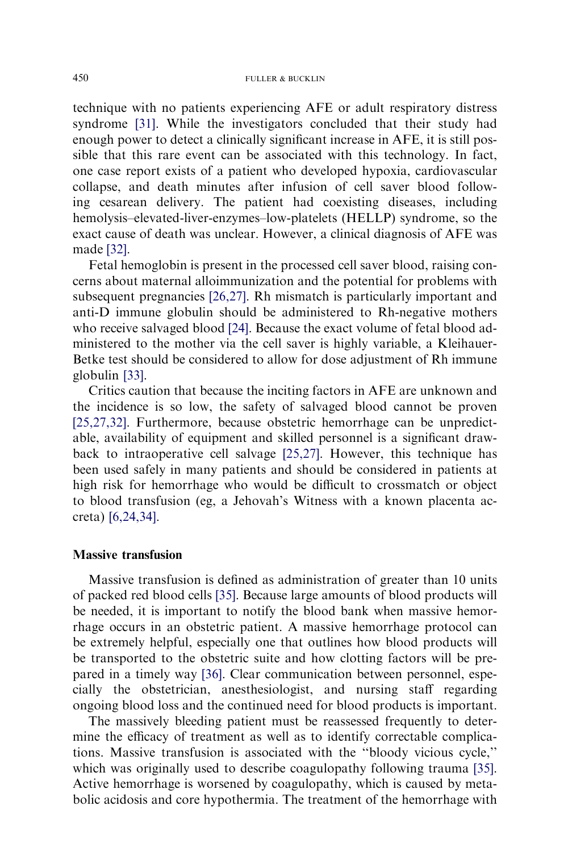technique with no patients experiencing AFE or adult respiratory distress syndrome [\[31\]](#page-14-0). While the investigators concluded that their study had enough power to detect a clinically significant increase in AFE, it is still possible that this rare event can be associated with this technology. In fact, one case report exists of a patient who developed hypoxia, cardiovascular collapse, and death minutes after infusion of cell saver blood following cesarean delivery. The patient had coexisting diseases, including hemolysis–elevated-liver-enzymes–low-platelets (HELLP) syndrome, so the exact cause of death was unclear. However, a clinical diagnosis of AFE was made [\[32\]](#page-14-0).

Fetal hemoglobin is present in the processed cell saver blood, raising concerns about maternal alloimmunization and the potential for problems with subsequent pregnancies [\[26,27\]](#page-14-0). Rh mismatch is particularly important and anti-D immune globulin should be administered to Rh-negative mothers who receive salvaged blood [\[24\]](#page-14-0). Because the exact volume of fetal blood administered to the mother via the cell saver is highly variable, a Kleihauer-Betke test should be considered to allow for dose adjustment of Rh immune globulin [\[33\]](#page-14-0).

Critics caution that because the inciting factors in AFE are unknown and the incidence is so low, the safety of salvaged blood cannot be proven [\[25,27,32\]](#page-14-0). Furthermore, because obstetric hemorrhage can be unpredictable, availability of equipment and skilled personnel is a significant drawback to intraoperative cell salvage [\[25,27\]](#page-14-0). However, this technique has been used safely in many patients and should be considered in patients at high risk for hemorrhage who would be difficult to crossmatch or object to blood transfusion (eg, a Jehovah's Witness with a known placenta accreta) [\[6,24,34\].](#page-13-0)

#### Massive transfusion

Massive transfusion is defined as administration of greater than 10 units of packed red blood cells [\[35\]](#page-14-0). Because large amounts of blood products will be needed, it is important to notify the blood bank when massive hemorrhage occurs in an obstetric patient. A massive hemorrhage protocol can be extremely helpful, especially one that outlines how blood products will be transported to the obstetric suite and how clotting factors will be prepared in a timely way [\[36\].](#page-14-0) Clear communication between personnel, especially the obstetrician, anesthesiologist, and nursing staff regarding ongoing blood loss and the continued need for blood products is important.

The massively bleeding patient must be reassessed frequently to determine the efficacy of treatment as well as to identify correctable complications. Massive transfusion is associated with the ''bloody vicious cycle,'' which was originally used to describe coagulopathy following trauma [\[35\]](#page-14-0). Active hemorrhage is worsened by coagulopathy, which is caused by metabolic acidosis and core hypothermia. The treatment of the hemorrhage with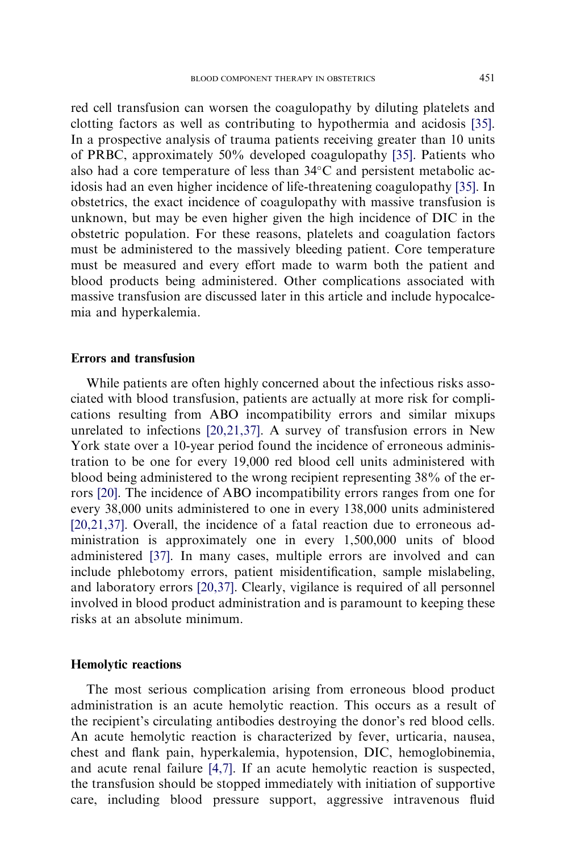red cell transfusion can worsen the coagulopathy by diluting platelets and clotting factors as well as contributing to hypothermia and acidosis [\[35\].](#page-14-0) In a prospective analysis of trauma patients receiving greater than 10 units of PRBC, approximately 50% developed coagulopathy [\[35\].](#page-14-0) Patients who also had a core temperature of less than  $34^{\circ}$ C and persistent metabolic acidosis had an even higher incidence of life-threatening coagulopathy [\[35\].](#page-14-0) In obstetrics, the exact incidence of coagulopathy with massive transfusion is unknown, but may be even higher given the high incidence of DIC in the obstetric population. For these reasons, platelets and coagulation factors must be administered to the massively bleeding patient. Core temperature must be measured and every effort made to warm both the patient and blood products being administered. Other complications associated with massive transfusion are discussed later in this article and include hypocalcemia and hyperkalemia.

## Errors and transfusion

While patients are often highly concerned about the infectious risks associated with blood transfusion, patients are actually at more risk for complications resulting from ABO incompatibility errors and similar mixups unrelated to infections [\[20,21,37\].](#page-14-0) A survey of transfusion errors in New York state over a 10-year period found the incidence of erroneous administration to be one for every 19,000 red blood cell units administered with blood being administered to the wrong recipient representing 38% of the errors [\[20\]](#page-14-0). The incidence of ABO incompatibility errors ranges from one for every 38,000 units administered to one in every 138,000 units administered [\[20,21,37\].](#page-14-0) Overall, the incidence of a fatal reaction due to erroneous administration is approximately one in every 1,500,000 units of blood administered [\[37\]](#page-14-0). In many cases, multiple errors are involved and can include phlebotomy errors, patient misidentification, sample mislabeling, and laboratory errors [\[20,37\]](#page-14-0). Clearly, vigilance is required of all personnel involved in blood product administration and is paramount to keeping these risks at an absolute minimum.

# Hemolytic reactions

The most serious complication arising from erroneous blood product administration is an acute hemolytic reaction. This occurs as a result of the recipient's circulating antibodies destroying the donor's red blood cells. An acute hemolytic reaction is characterized by fever, urticaria, nausea, chest and flank pain, hyperkalemia, hypotension, DIC, hemoglobinemia, and acute renal failure [\[4,7\].](#page-13-0) If an acute hemolytic reaction is suspected, the transfusion should be stopped immediately with initiation of supportive care, including blood pressure support, aggressive intravenous fluid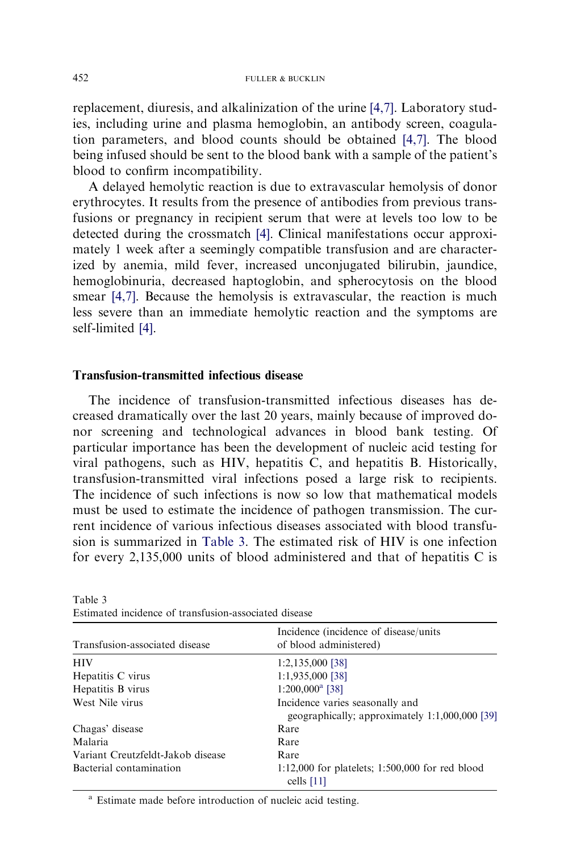replacement, diuresis, and alkalinization of the urine [\[4,7\].](#page-13-0) Laboratory studies, including urine and plasma hemoglobin, an antibody screen, coagulation parameters, and blood counts should be obtained [\[4,7\]](#page-13-0). The blood being infused should be sent to the blood bank with a sample of the patient's blood to confirm incompatibility.

A delayed hemolytic reaction is due to extravascular hemolysis of donor erythrocytes. It results from the presence of antibodies from previous transfusions or pregnancy in recipient serum that were at levels too low to be detected during the crossmatch [\[4\]](#page-13-0). Clinical manifestations occur approximately 1 week after a seemingly compatible transfusion and are characterized by anemia, mild fever, increased unconjugated bilirubin, jaundice, hemoglobinuria, decreased haptoglobin, and spherocytosis on the blood smear [\[4,7\]](#page-13-0). Because the hemolysis is extravascular, the reaction is much less severe than an immediate hemolytic reaction and the symptoms are self-limited [\[4\]](#page-13-0).

### Transfusion-transmitted infectious disease

The incidence of transfusion-transmitted infectious diseases has decreased dramatically over the last 20 years, mainly because of improved donor screening and technological advances in blood bank testing. Of particular importance has been the development of nucleic acid testing for viral pathogens, such as HIV, hepatitis C, and hepatitis B. Historically, transfusion-transmitted viral infections posed a large risk to recipients. The incidence of such infections is now so low that mathematical models must be used to estimate the incidence of pathogen transmission. The current incidence of various infectious diseases associated with blood transfusion is summarized in Table 3. The estimated risk of HIV is one infection for every 2,135,000 units of blood administered and that of hepatitis C is

| Transfusion-associated disease    | Incidence (incidence of disease/units)<br>of blood administered)                  |  |  |  |
|-----------------------------------|-----------------------------------------------------------------------------------|--|--|--|
| <b>HIV</b>                        | $1:2,135,000$ [38]                                                                |  |  |  |
| Hepatitis C virus                 | 1:1,935,000 [38]                                                                  |  |  |  |
| Hepatitis B virus                 | $1:200,000^a$ [38]                                                                |  |  |  |
| West Nile virus                   | Incidence varies seasonally and<br>geographically; approximately 1:1,000,000 [39] |  |  |  |
| Chagas' disease                   | Rare                                                                              |  |  |  |
| Malaria                           | Rare                                                                              |  |  |  |
| Variant Creutzfeldt-Jakob disease | Rare                                                                              |  |  |  |
| Bacterial contamination           | $1:12,000$ for platelets; $1:500,000$ for red blood<br>cells $[11]$               |  |  |  |

Table 3 Estimated incidence of transfusion-associated disease

<sup>a</sup> Estimate made before introduction of nucleic acid testing.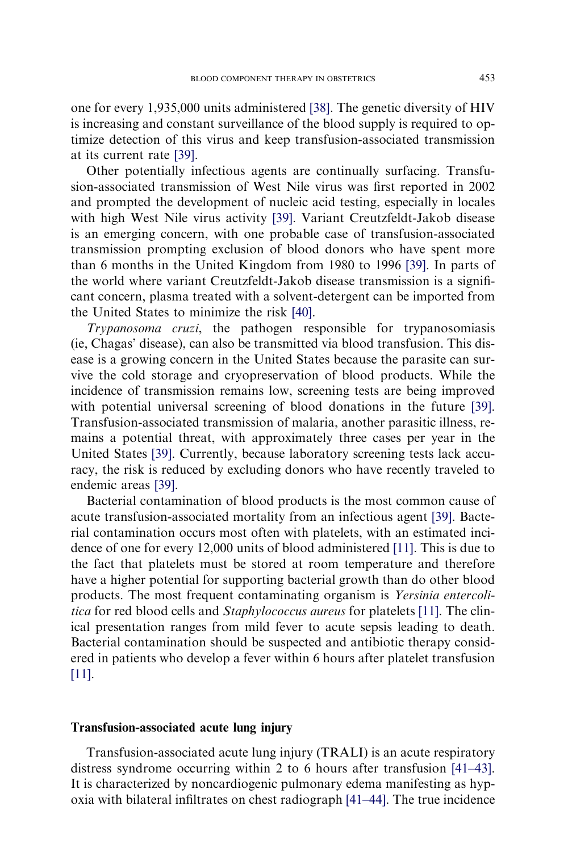one for every 1,935,000 units administered [\[38\].](#page-14-0) The genetic diversity of HIV is increasing and constant surveillance of the blood supply is required to optimize detection of this virus and keep transfusion-associated transmission at its current rate [\[39\].](#page-14-0)

Other potentially infectious agents are continually surfacing. Transfusion-associated transmission of West Nile virus was first reported in 2002 and prompted the development of nucleic acid testing, especially in locales with high West Nile virus activity [\[39\].](#page-14-0) Variant Creutzfeldt-Jakob disease is an emerging concern, with one probable case of transfusion-associated transmission prompting exclusion of blood donors who have spent more than 6 months in the United Kingdom from 1980 to 1996 [\[39\].](#page-14-0) In parts of the world where variant Creutzfeldt-Jakob disease transmission is a significant concern, plasma treated with a solvent-detergent can be imported from the United States to minimize the risk [\[40\]](#page-14-0).

Trypanosoma cruzi, the pathogen responsible for trypanosomiasis (ie, Chagas' disease), can also be transmitted via blood transfusion. This disease is a growing concern in the United States because the parasite can survive the cold storage and cryopreservation of blood products. While the incidence of transmission remains low, screening tests are being improved with potential universal screening of blood donations in the future [\[39\].](#page-14-0) Transfusion-associated transmission of malaria, another parasitic illness, remains a potential threat, with approximately three cases per year in the United States [\[39\].](#page-14-0) Currently, because laboratory screening tests lack accuracy, the risk is reduced by excluding donors who have recently traveled to endemic areas [\[39\].](#page-14-0)

Bacterial contamination of blood products is the most common cause of acute transfusion-associated mortality from an infectious agent [\[39\].](#page-14-0) Bacterial contamination occurs most often with platelets, with an estimated incidence of one for every 12,000 units of blood administered [\[11\].](#page-13-0) This is due to the fact that platelets must be stored at room temperature and therefore have a higher potential for supporting bacterial growth than do other blood products. The most frequent contaminating organism is Yersinia entercoli-tica for red blood cells and Staphylococcus aureus for platelets [\[11\].](#page-13-0) The clinical presentation ranges from mild fever to acute sepsis leading to death. Bacterial contamination should be suspected and antibiotic therapy considered in patients who develop a fever within 6 hours after platelet transfusion [\[11\]](#page-13-0).

# Transfusion-associated acute lung injury

Transfusion-associated acute lung injury (TRALI) is an acute respiratory distress syndrome occurring within 2 to 6 hours after transfusion [\[41–43\].](#page-15-0) It is characterized by noncardiogenic pulmonary edema manifesting as hypoxia with bilateral infiltrates on chest radiograph [\[41–44\]](#page-15-0). The true incidence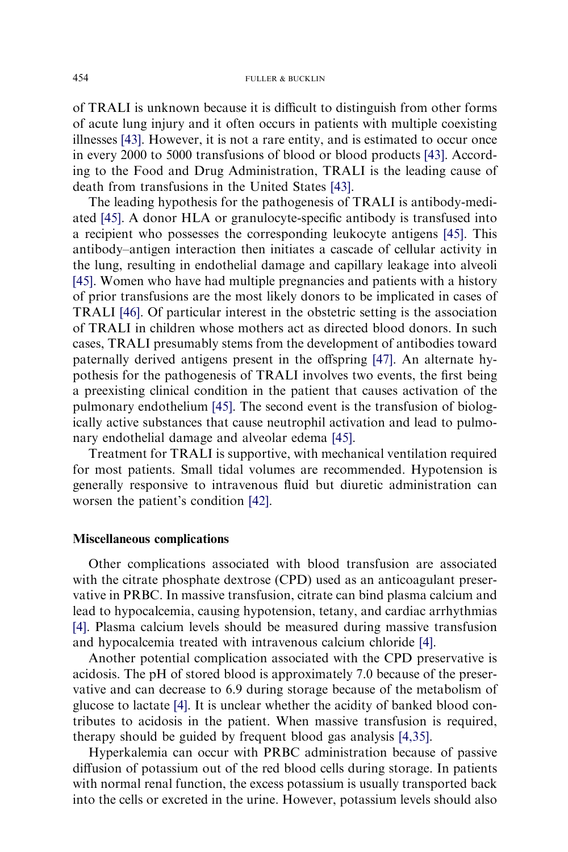of TRALI is unknown because it is difficult to distinguish from other forms of acute lung injury and it often occurs in patients with multiple coexisting illnesses [\[43\]](#page-15-0). However, it is not a rare entity, and is estimated to occur once in every 2000 to 5000 transfusions of blood or blood products [\[43\]](#page-15-0). According to the Food and Drug Administration, TRALI is the leading cause of death from transfusions in the United States [\[43\].](#page-15-0)

The leading hypothesis for the pathogenesis of TRALI is antibody-mediated [\[45\]](#page-15-0). A donor HLA or granulocyte-specific antibody is transfused into a recipient who possesses the corresponding leukocyte antigens [\[45\].](#page-15-0) This antibody–antigen interaction then initiates a cascade of cellular activity in the lung, resulting in endothelial damage and capillary leakage into alveoli [\[45\].](#page-15-0) Women who have had multiple pregnancies and patients with a history of prior transfusions are the most likely donors to be implicated in cases of TRALI [\[46\].](#page-15-0) Of particular interest in the obstetric setting is the association of TRALI in children whose mothers act as directed blood donors. In such cases, TRALI presumably stems from the development of antibodies toward paternally derived antigens present in the offspring [\[47\].](#page-15-0) An alternate hypothesis for the pathogenesis of TRALI involves two events, the first being a preexisting clinical condition in the patient that causes activation of the pulmonary endothelium [\[45\].](#page-15-0) The second event is the transfusion of biologically active substances that cause neutrophil activation and lead to pulmonary endothelial damage and alveolar edema [\[45\].](#page-15-0)

Treatment for TRALI is supportive, with mechanical ventilation required for most patients. Small tidal volumes are recommended. Hypotension is generally responsive to intravenous fluid but diuretic administration can worsen the patient's condition [\[42\]](#page-15-0).

#### Miscellaneous complications

Other complications associated with blood transfusion are associated with the citrate phosphate dextrose (CPD) used as an anticoagulant preservative in PRBC. In massive transfusion, citrate can bind plasma calcium and lead to hypocalcemia, causing hypotension, tetany, and cardiac arrhythmias [\[4\].](#page-13-0) Plasma calcium levels should be measured during massive transfusion and hypocalcemia treated with intravenous calcium chloride [\[4\]](#page-13-0).

Another potential complication associated with the CPD preservative is acidosis. The pH of stored blood is approximately 7.0 because of the preservative and can decrease to 6.9 during storage because of the metabolism of glucose to lactate [\[4\].](#page-13-0) It is unclear whether the acidity of banked blood contributes to acidosis in the patient. When massive transfusion is required, therapy should be guided by frequent blood gas analysis [\[4,35\]](#page-13-0).

Hyperkalemia can occur with PRBC administration because of passive diffusion of potassium out of the red blood cells during storage. In patients with normal renal function, the excess potassium is usually transported back into the cells or excreted in the urine. However, potassium levels should also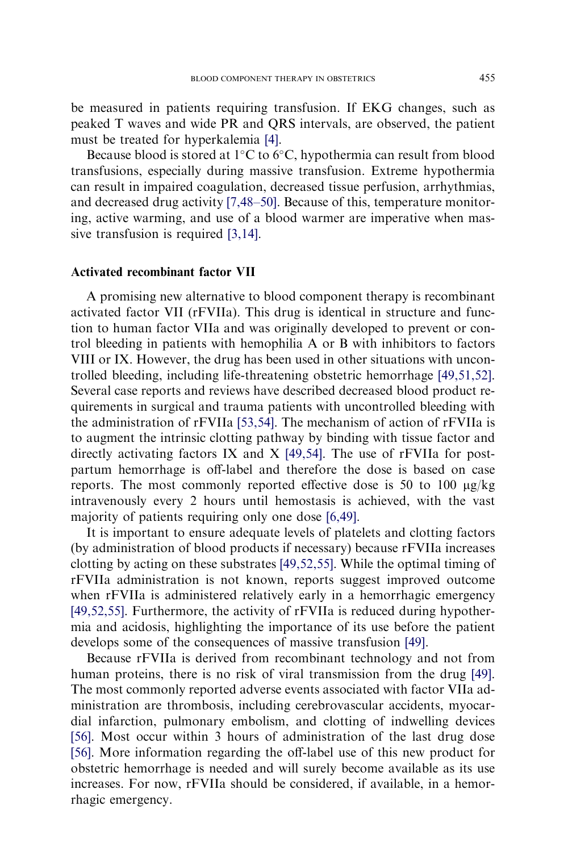be measured in patients requiring transfusion. If EKG changes, such as peaked T waves and wide PR and QRS intervals, are observed, the patient must be treated for hyperkalemia [\[4\].](#page-13-0)

Because blood is stored at  $1^{\circ}$ C to  $6^{\circ}$ C, hypothermia can result from blood transfusions, especially during massive transfusion. Extreme hypothermia can result in impaired coagulation, decreased tissue perfusion, arrhythmias, and decreased drug activity [\[7,48–50\].](#page-13-0) Because of this, temperature monitoring, active warming, and use of a blood warmer are imperative when massive transfusion is required [\[3,14\]](#page-13-0).

## Activated recombinant factor VII

A promising new alternative to blood component therapy is recombinant activated factor VII (rFVIIa). This drug is identical in structure and function to human factor VIIa and was originally developed to prevent or control bleeding in patients with hemophilia A or B with inhibitors to factors VIII or IX. However, the drug has been used in other situations with uncontrolled bleeding, including life-threatening obstetric hemorrhage [\[49,51,52\].](#page-15-0) Several case reports and reviews have described decreased blood product requirements in surgical and trauma patients with uncontrolled bleeding with the administration of rFVIIa [\[53,54\]](#page-15-0). The mechanism of action of rFVIIa is to augment the intrinsic clotting pathway by binding with tissue factor and directly activating factors IX and  $X$  [\[49,54\]](#page-15-0). The use of rFVIIa for postpartum hemorrhage is off-label and therefore the dose is based on case reports. The most commonly reported effective dose is 50 to 100  $\mu$ g/kg intravenously every 2 hours until hemostasis is achieved, with the vast majority of patients requiring only one dose [\[6,49\]](#page-13-0).

It is important to ensure adequate levels of platelets and clotting factors (by administration of blood products if necessary) because rFVIIa increases clotting by acting on these substrates [\[49,52,55\].](#page-15-0) While the optimal timing of rFVIIa administration is not known, reports suggest improved outcome when rFVIIa is administered relatively early in a hemorrhagic emergency [\[49,52,55\].](#page-15-0) Furthermore, the activity of rFVIIa is reduced during hypothermia and acidosis, highlighting the importance of its use before the patient develops some of the consequences of massive transfusion [\[49\]](#page-15-0).

Because rFVIIa is derived from recombinant technology and not from human proteins, there is no risk of viral transmission from the drug [\[49\].](#page-15-0) The most commonly reported adverse events associated with factor VIIa administration are thrombosis, including cerebrovascular accidents, myocardial infarction, pulmonary embolism, and clotting of indwelling devices [\[56\]](#page-15-0). Most occur within 3 hours of administration of the last drug dose [\[56\]](#page-15-0). More information regarding the off-label use of this new product for obstetric hemorrhage is needed and will surely become available as its use increases. For now, rFVIIa should be considered, if available, in a hemorrhagic emergency.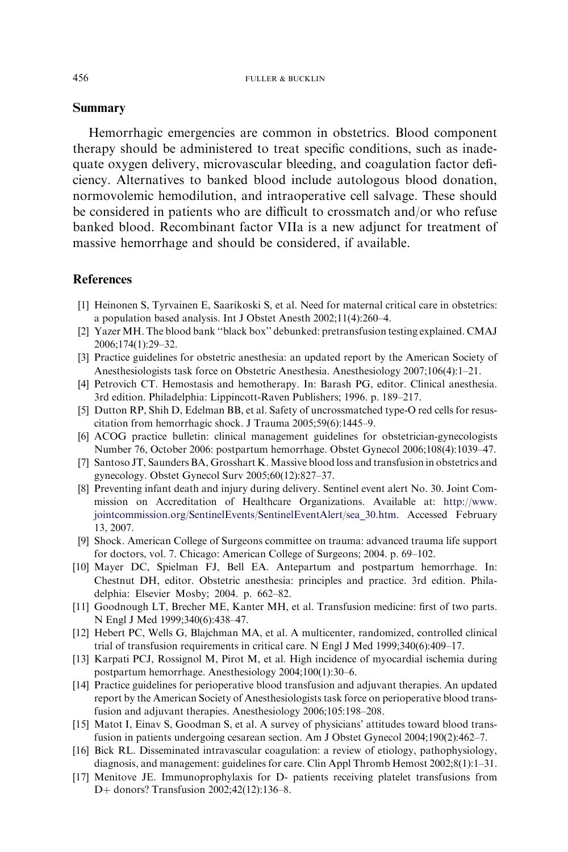#### <span id="page-13-0"></span>Summary

Hemorrhagic emergencies are common in obstetrics. Blood component therapy should be administered to treat specific conditions, such as inadequate oxygen delivery, microvascular bleeding, and coagulation factor deficiency. Alternatives to banked blood include autologous blood donation, normovolemic hemodilution, and intraoperative cell salvage. These should be considered in patients who are difficult to crossmatch and/or who refuse banked blood. Recombinant factor VIIa is a new adjunct for treatment of massive hemorrhage and should be considered, if available.

## References

- [1] Heinonen S, Tyrvainen E, Saarikoski S, et al. Need for maternal critical care in obstetrics: a population based analysis. Int J Obstet Anesth 2002;11(4):260–4.
- [2] Yazer MH. The blood bank ''black box'' debunked: pretransfusion testing explained. CMAJ 2006;174(1):29–32.
- [3] Practice guidelines for obstetric anesthesia: an updated report by the American Society of Anesthesiologists task force on Obstetric Anesthesia. Anesthesiology 2007;106(4):1–21.
- [4] Petrovich CT. Hemostasis and hemotherapy. In: Barash PG, editor. Clinical anesthesia. 3rd edition. Philadelphia: Lippincott-Raven Publishers; 1996. p. 189–217.
- [5] Dutton RP, Shih D, Edelman BB, et al. Safety of uncrossmatched type-O red cells for resuscitation from hemorrhagic shock. J Trauma 2005;59(6):1445–9.
- [6] ACOG practice bulletin: clinical management guidelines for obstetrician-gynecologists Number 76, October 2006: postpartum hemorrhage. Obstet Gynecol 2006;108(4):1039–47.
- [7] Santoso JT, Saunders BA, Grosshart K. Massive blood loss and transfusion in obstetrics and gynecology. Obstet Gynecol Surv 2005;60(12):827–37.
- [8] Preventing infant death and injury during delivery. Sentinel event alert No. 30. Joint Commission on Accreditation of Healthcare Organizations. Available at: [http://www.](http://www.jointcommission.org/SentinelEvents/SentinelEventAlert/sea_30.htm) [jointcommission.org/SentinelEvents/SentinelEventAlert/sea\\_30.htm](http://www.jointcommission.org/SentinelEvents/SentinelEventAlert/sea_30.htm). Accessed February 13, 2007.
- [9] Shock. American College of Surgeons committee on trauma: advanced trauma life support for doctors, vol. 7. Chicago: American College of Surgeons; 2004. p. 69–102.
- [10] Mayer DC, Spielman FJ, Bell EA. Antepartum and postpartum hemorrhage. In: Chestnut DH, editor. Obstetric anesthesia: principles and practice. 3rd edition. Philadelphia: Elsevier Mosby; 2004. p. 662–82.
- [11] Goodnough LT, Brecher ME, Kanter MH, et al. Transfusion medicine: first of two parts. N Engl J Med 1999;340(6):438–47.
- [12] Hebert PC, Wells G, Blajchman MA, et al. A multicenter, randomized, controlled clinical trial of transfusion requirements in critical care. N Engl J Med 1999;340(6):409–17.
- [13] Karpati PCJ, Rossignol M, Pirot M, et al. High incidence of myocardial ischemia during postpartum hemorrhage. Anesthesiology 2004;100(1):30–6.
- [14] Practice guidelines for perioperative blood transfusion and adjuvant therapies. An updated report by the American Society of Anesthesiologists task force on perioperative blood transfusion and adjuvant therapies. Anesthesiology 2006;105:198–208.
- [15] Matot I, Einav S, Goodman S, et al. A survey of physicians' attitudes toward blood transfusion in patients undergoing cesarean section. Am J Obstet Gynecol 2004;190(2):462–7.
- [16] Bick RL. Disseminated intravascular coagulation: a review of etiology, pathophysiology, diagnosis, and management: guidelines for care. Clin Appl Thromb Hemost 2002;8(1):1–31.
- [17] Menitove JE. Immunoprophylaxis for D- patients receiving platelet transfusions from D+ donors? Transfusion 2002;42(12):136–8.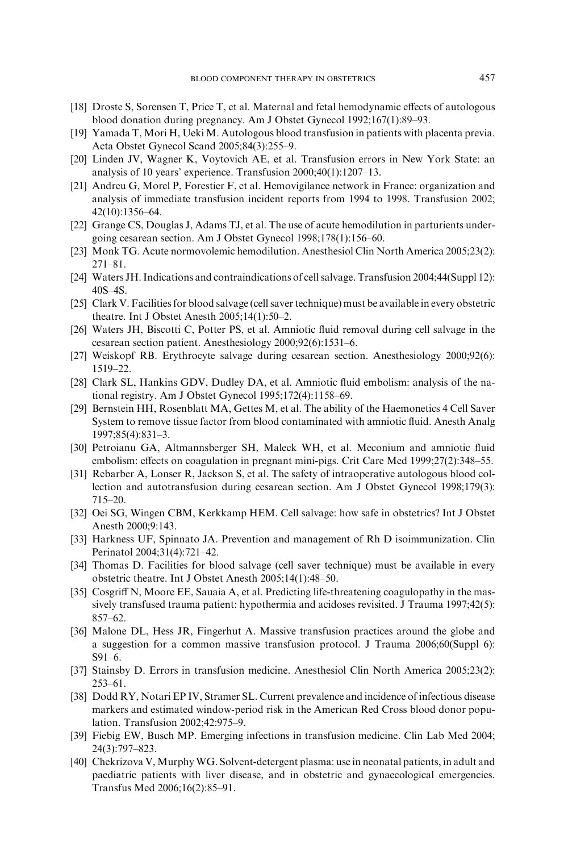- <span id="page-14-0"></span>[18] Droste S, Sorensen T, Price T, et al. Maternal and fetal hemodynamic effects of autologous blood donation during pregnancy. Am J Obstet Gynecol 1992;167(1):89–93.
- [19] Yamada T, Mori H, Ueki M. Autologous blood transfusion in patients with placenta previa. Acta Obstet Gynecol Scand 2005;84(3):255–9.
- [20] Linden JV, Wagner K, Voytovich AE, et al. Transfusion errors in New York State: an analysis of 10 years' experience. Transfusion 2000;40(1):1207–13.
- [21] Andreu G, Morel P, Forestier F, et al. Hemovigilance network in France: organization and analysis of immediate transfusion incident reports from 1994 to 1998. Transfusion 2002; 42(10):1356–64.
- [22] Grange CS, Douglas J, Adams TJ, et al. The use of acute hemodilution in parturients undergoing cesarean section. Am J Obstet Gynecol 1998;178(1):156–60.
- [23] Monk TG. Acute normovolemic hemodilution. Anesthesiol Clin North America 2005;23(2): 271–81.
- [24] Waters JH. Indications and contraindications of cell salvage. Transfusion 2004;44(Suppl 12): 40S–4S.
- [25] Clark V. Facilities for blood salvage (cell saver technique) must be available in every obstetric theatre. Int J Obstet Anesth 2005;14(1):50–2.
- [26] Waters JH, Biscotti C, Potter PS, et al. Amniotic fluid removal during cell salvage in the cesarean section patient. Anesthesiology 2000;92(6):1531–6.
- [27] Weiskopf RB. Erythrocyte salvage during cesarean section. Anesthesiology 2000;92(6): 1519–22.
- [28] Clark SL, Hankins GDV, Dudley DA, et al. Amniotic fluid embolism: analysis of the national registry. Am J Obstet Gynecol 1995;172(4):1158–69.
- [29] Bernstein HH, Rosenblatt MA, Gettes M, et al. The ability of the Haemonetics 4 Cell Saver System to remove tissue factor from blood contaminated with amniotic fluid. Anesth Analg 1997;85(4):831–3.
- [30] Petroianu GA, Altmannsberger SH, Maleck WH, et al. Meconium and amniotic fluid embolism: effects on coagulation in pregnant mini-pigs. Crit Care Med 1999;27(2):348–55.
- [31] Rebarber A, Lonser R, Jackson S, et al. The safety of intraoperative autologous blood collection and autotransfusion during cesarean section. Am J Obstet Gynecol 1998;179(3): 715–20.
- [32] Oei SG, Wingen CBM, Kerkkamp HEM. Cell salvage: how safe in obstetrics? Int J Obstet Anesth 2000;9:143.
- [33] Harkness UF, Spinnato JA. Prevention and management of Rh D isoimmunization. Clin Perinatol 2004;31(4):721–42.
- [34] Thomas D. Facilities for blood salvage (cell saver technique) must be available in every obstetric theatre. Int J Obstet Anesth 2005;14(1):48–50.
- [35] Cosgriff N, Moore EE, Sauaia A, et al. Predicting life-threatening coagulopathy in the massively transfused trauma patient: hypothermia and acidoses revisited. J Trauma 1997;42(5): 857–62.
- [36] Malone DL, Hess JR, Fingerhut A. Massive transfusion practices around the globe and a suggestion for a common massive transfusion protocol. J Trauma 2006;60(Suppl 6): S91–6.
- [37] Stainsby D. Errors in transfusion medicine. Anesthesiol Clin North America 2005;23(2): 253–61.
- [38] Dodd RY, Notari EP IV, Stramer SL. Current prevalence and incidence of infectious disease markers and estimated window-period risk in the American Red Cross blood donor population. Transfusion 2002;42:975–9.
- [39] Fiebig EW, Busch MP. Emerging infections in transfusion medicine. Clin Lab Med 2004; 24(3):797–823.
- [40] Chekrizova V, MurphyWG. Solvent-detergent plasma: use in neonatal patients, in adult and paediatric patients with liver disease, and in obstetric and gynaecological emergencies. Transfus Med 2006;16(2):85–91.